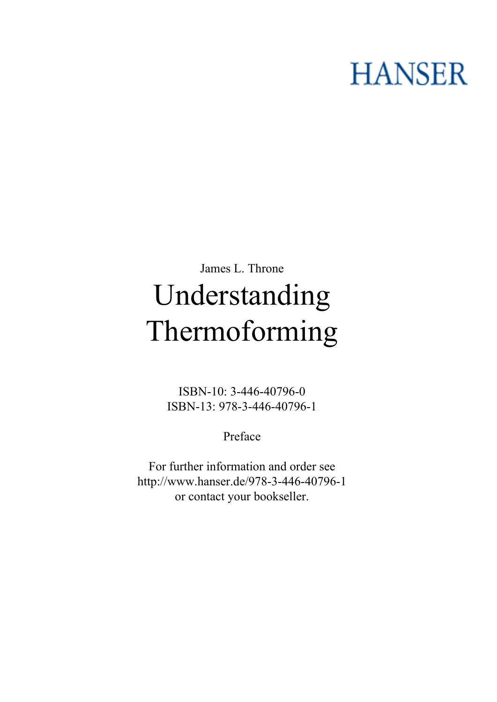## **HANSER**

## **James L. Throne Understanding Thermoforming**

**ISBN-10: 3-446-40796-0 ISBN-13: 978-3-446-40796-1**

**Preface**

**For further information and order see <http://www.hanser.de/978-3-446-40796-1> or contact your bookseller.**